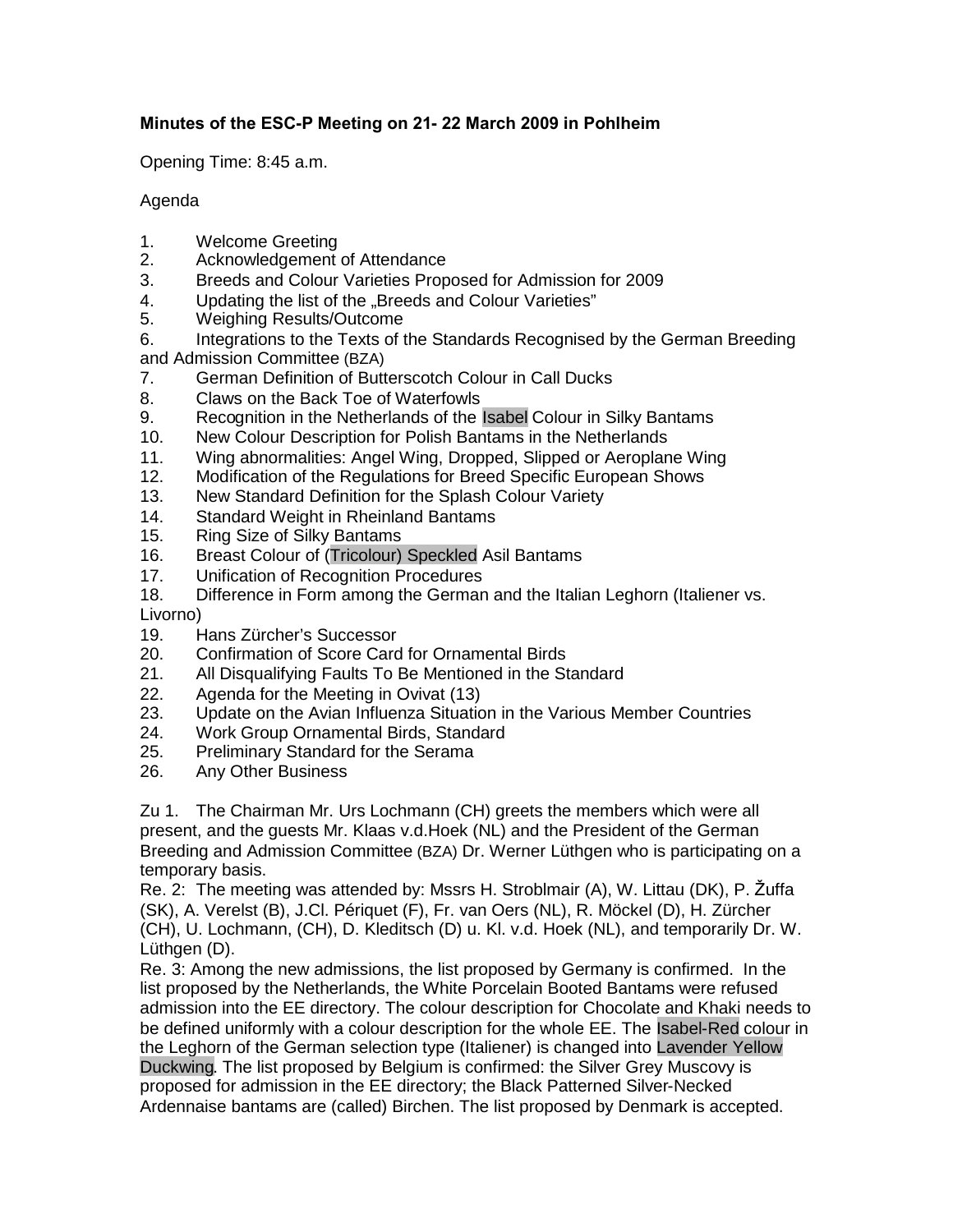## **Minutes of the ESC-P Meeting on 21- 22 March 2009 in Pohlheim**

Opening Time: 8:45 a.m.

## Agenda

- 1. Welcome Greeting
- 2. Acknowledgement of Attendance
- 3. Breeds and Colour Varieties Proposed for Admission for 2009
- 4. Updating the list of the "Breeds and Colour Varieties"
- 5. Weighing Results/Outcome
- 6. Integrations to the Texts of the Standards Recognised by the German Breeding and Admission Committee (BZA)
- 7. German Definition of Butterscotch Colour in Call Ducks
- 8. Claws on the Back Toe of Waterfowls
- 9. Recognition in the Netherlands of the Isabel Colour in Silky Bantams
- 10. New Colour Description for Polish Bantams in the Netherlands
- 11. Wing abnormalities: Angel Wing, Dropped, Slipped or Aeroplane Wing
- 12. Modification of the Regulations for Breed Specific European Shows
- 13. New Standard Definition for the Splash Colour Variety
- 14. Standard Weight in Rheinland Bantams
- 15. Ring Size of Silky Bantams
- 16. Breast Colour of (Tricolour) Speckled Asil Bantams
- 17. Unification of Recognition Procedures
- 18. Difference in Form among the German and the Italian Leghorn (Italiener vs. Livorno)
- 
- 19. Hans Zürcher's Successor 20. Confirmation of Score Card for Ornamental Birds
- 21. All Disqualifying Faults To Be Mentioned in the Standard
- 22. Agenda for the Meeting in Ovivat (13)
- 23. Update on the Avian Influenza Situation in the Various Member Countries
- 24. Work Group Ornamental Birds, Standard
- 25. Preliminary Standard for the Serama
- 26. Any Other Business

Zu 1. The Chairman Mr. Urs Lochmann (CH) greets the members which were all present, and the guests Mr. Klaas v.d.Hoek (NL) and the President of the German Breeding and Admission Committee (BZA) Dr. Werner Lüthgen who is participating on a temporary basis.

Re. 2: The meeting was attended by: Mssrs H. Stroblmair (A), W. Littau (DK), P. Žuffa (SK), A. Verelst (B), J.Cl. Périquet (F), Fr. van Oers (NL), R. Möckel (D), H. Zürcher (CH), U. Lochmann, (CH), D. Kleditsch (D) u. Kl. v.d. Hoek (NL), and temporarily Dr. W. Lüthgen (D).

Re. 3: Among the new admissions, the list proposed by Germany is confirmed. In the list proposed by the Netherlands, the White Porcelain Booted Bantams were refused admission into the EE directory. The colour description for Chocolate and Khaki needs to be defined uniformly with a colour description for the whole EE. The Isabel-Red colour in the Leghorn of the German selection type (Italiener) is changed into Lavender Yellow Duckwing. The list proposed by Belgium is confirmed: the Silver Grey Muscovy is proposed for admission in the EE directory; the Black Patterned Silver-Necked Ardennaise bantams are (called) Birchen. The list proposed by Denmark is accepted.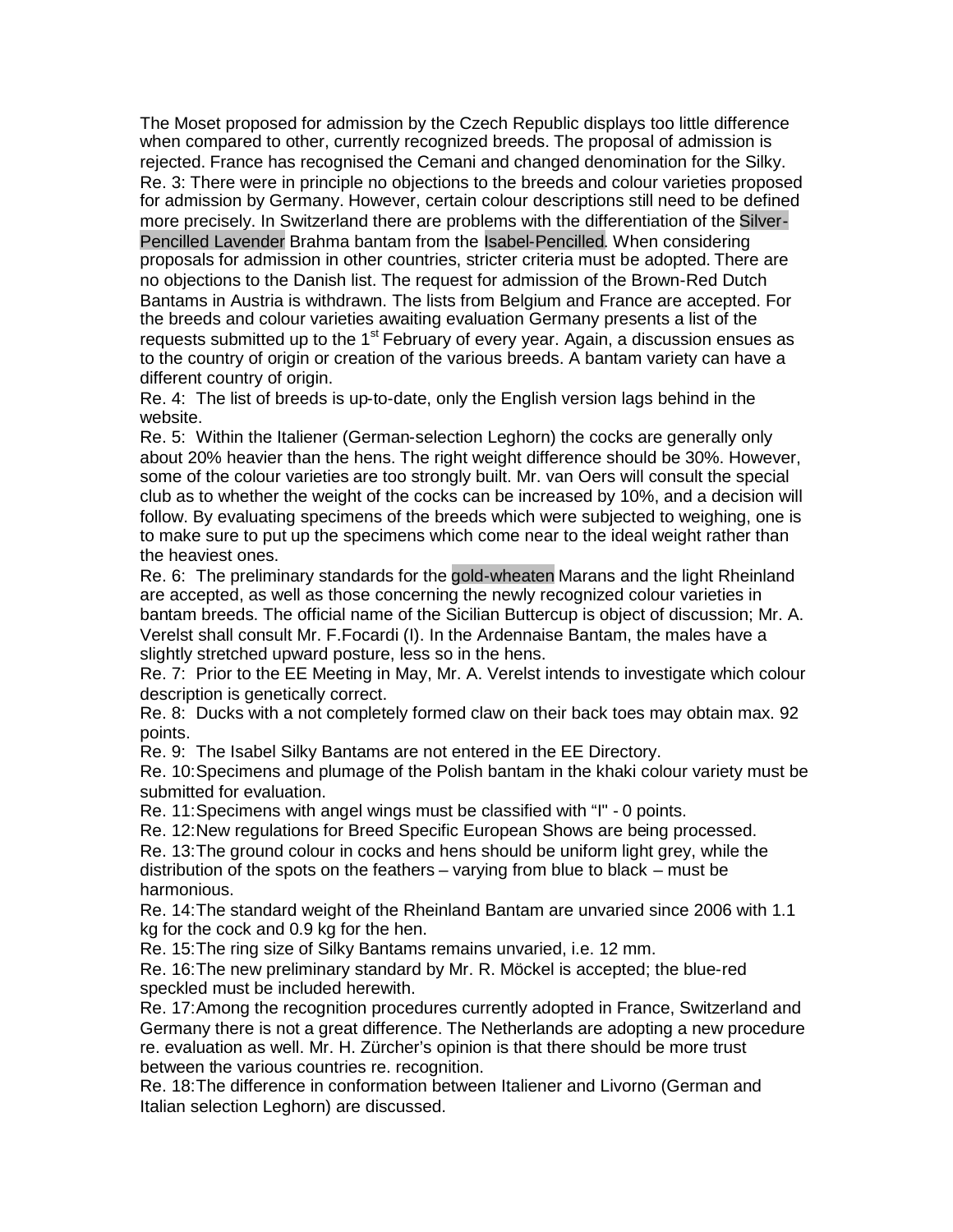The Moset proposed for admission by the Czech Republic displays too little difference when compared to other, currently recognized breeds. The proposal of admission is rejected. France has recognised the Cemani and changed denomination for the Silky. Re. 3: There were in principle no objections to the breeds and colour varieties proposed for admission by Germany. However, certain colour descriptions still need to be defined more precisely. In Switzerland there are problems with the differentiation of the Silver-Pencilled Lavender Brahma bantam from the Isabel-Pencilled. When considering proposals for admission in other countries, stricter criteria must be adopted. There are no objections to the Danish list. The request for admission of the Brown-Red Dutch Bantams in Austria is withdrawn. The lists from Belgium and France are accepted. For the breeds and colour varieties awaiting evaluation Germany presents a list of the requests submitted up to the  $1<sup>st</sup>$  February of every year. Again, a discussion ensues as to the country of origin or creation of the various breeds. A bantam variety can have a different country of origin.

Re. 4: The list of breeds is up-to-date, only the English version lags behind in the website.

Re. 5: Within the Italiener (German-selection Leghorn) the cocks are generally only about 20% heavier than the hens. The right weight difference should be 30%. However, some of the colour varieties are too strongly built. Mr. van Oers will consult the special club as to whether the weight of the cocks can be increased by 10%, and a decision will follow. By evaluating specimens of the breeds which were subjected to weighing, one is to make sure to put up the specimens which come near to the ideal weight rather than the heaviest ones.

Re. 6: The preliminary standards for the gold-wheaten Marans and the light Rheinland are accepted, as well as those concerning the newly recognized colour varieties in bantam breeds. The official name of the Sicilian Buttercup is object of discussion; Mr. A. Verelst shall consult Mr. F.Focardi (I). In the Ardennaise Bantam, the males have a slightly stretched upward posture, less so in the hens.

Re. 7: Prior to the EE Meeting in May, Mr. A. Verelst intends to investigate which colour description is genetically correct.

Re. 8: Ducks with a not completely formed claw on their back toes may obtain max. 92 points.

Re. 9: The Isabel Silky Bantams are not entered in the EE Directory.

Re. 10:Specimens and plumage of the Polish bantam in the khaki colour variety must be submitted for evaluation.

Re. 11:Specimens with angel wings must be classified with "I" - 0 points.

Re. 12:New regulations for Breed Specific European Shows are being processed.

Re. 13:The ground colour in cocks and hens should be uniform light grey, while the distribution of the spots on the feathers – varying from blue to black – must be harmonious.

Re. 14:The standard weight of the Rheinland Bantam are unvaried since 2006 with 1.1 kg for the cock and 0.9 kg for the hen.

Re. 15:The ring size of Silky Bantams remains unvaried, i.e. 12 mm.

Re. 16:The new preliminary standard by Mr. R. Möckel is accepted; the blue-red speckled must be included herewith.

Re. 17:Among the recognition procedures currently adopted in France, Switzerland and Germany there is not a great difference. The Netherlands are adopting a new procedure re. evaluation as well. Mr. H. Zürcher's opinion is that there should be more trust between the various countries re. recognition.

Re. 18:The difference in conformation between Italiener and Livorno (German and Italian selection Leghorn) are discussed.